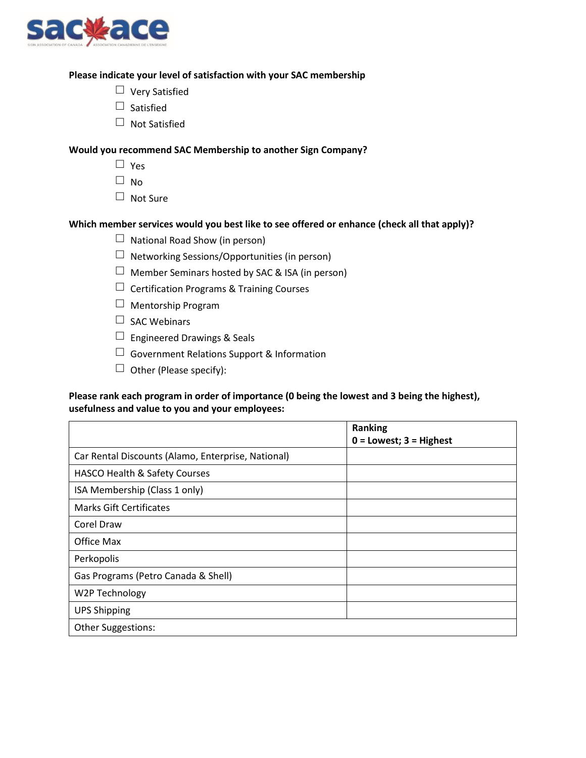

#### **Please indicate your level of satisfaction with your SAC membership**

- $\Box$  Very Satisfied
- $\Box$  Satisfied
- $\Box$  Not Satisfied

#### **Would you recommend SAC Membership to another Sign Company?**

- $\Box$  Yes
- $\Box$  No
- $\Box$  Not Sure

## **Which member services would you best like to see offered or enhance (check all that apply)?**

- $\Box$  National Road Show (in person)
- $\Box$  Networking Sessions/Opportunities (in person)
- $\Box$  Member Seminars hosted by SAC & ISA (in person)
- $\Box$  Certification Programs & Training Courses
- $\Box$  Mentorship Program
- $\Box$  SAC Webinars
- $\Box$  Engineered Drawings & Seals
- $\Box$  Government Relations Support & Information
- $\Box$  Other (Please specify):

## **Please rank each program in order of importance (0 being the lowest and 3 being the highest), usefulness and value to you and your employees:**

|                                                    | <b>Ranking</b>              |
|----------------------------------------------------|-----------------------------|
|                                                    | $0 =$ Lowest; $3 =$ Highest |
| Car Rental Discounts (Alamo, Enterprise, National) |                             |
| HASCO Health & Safety Courses                      |                             |
| ISA Membership (Class 1 only)                      |                             |
| Marks Gift Certificates                            |                             |
| Corel Draw                                         |                             |
| Office Max                                         |                             |
| Perkopolis                                         |                             |
| Gas Programs (Petro Canada & Shell)                |                             |
| W2P Technology                                     |                             |
| <b>UPS Shipping</b>                                |                             |
| <b>Other Suggestions:</b>                          |                             |